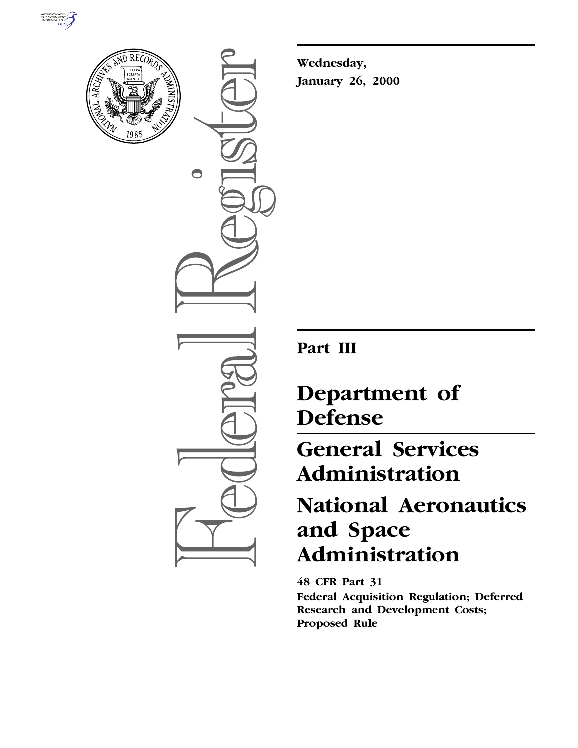



 $\bullet$ 

**Wednesday, January 26, 2000**

**Part III**

# **Department of Defense**

# **General Services Administration**

# **National Aeronautics and Space Administration**

**48 CFR Part 31 Federal Acquisition Regulation; Deferred Research and Development Costs; Proposed Rule**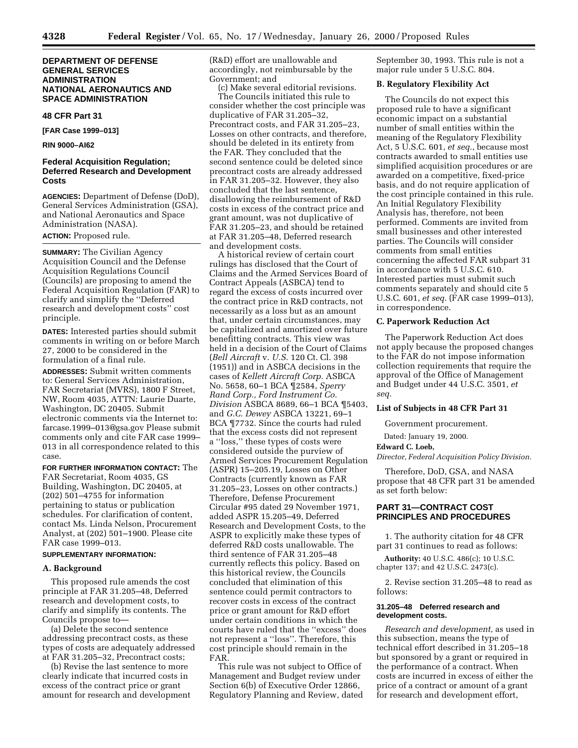## **DEPARTMENT OF DEFENSE GENERAL SERVICES ADMINISTRATION NATIONAL AERONAUTICS AND SPACE ADMINISTRATION**

### **48 CFR Part 31**

**[FAR Case 1999–013]**

#### **RIN 9000–AI62**

## **Federal Acquisition Regulation; Deferred Research and Development Costs**

**AGENCIES:** Department of Defense (DoD), General Services Administration (GSA), and National Aeronautics and Space Administration (NASA). **ACTION:** Proposed rule.

**SUMMARY:** The Civilian Agency Acquisition Council and the Defense Acquisition Regulations Council (Councils) are proposing to amend the Federal Acquisition Regulation (FAR) to clarify and simplify the ''Deferred research and development costs'' cost principle.

**DATES:** Interested parties should submit comments in writing on or before March 27, 2000 to be considered in the formulation of a final rule.

**ADDRESSES:** Submit written comments to: General Services Administration, FAR Secretariat (MVRS), 1800 F Street, NW, Room 4035, ATTN: Laurie Duarte, Washington, DC 20405. Submit electronic comments via the Internet to: farcase.1999–013@gsa.gov Please submit comments only and cite FAR case 1999– 013 in all correspondence related to this case.

**FOR FURTHER INFORMATION CONTACT:** The FAR Secretariat, Room 4035, GS Building, Washington, DC 20405, at (202) 501–4755 for information pertaining to status or publication schedules. For clarification of content, contact Ms. Linda Nelson, Procurement Analyst, at (202) 501–1900. Please cite FAR case 1999–013.

## **SUPPLEMENTARY INFORMATION:**

#### **A. Background**

This proposed rule amends the cost principle at FAR 31.205–48, Deferred research and development costs, to clarify and simplify its contents. The Councils propose to—

(a) Delete the second sentence addressing precontract costs, as these types of costs are adequately addressed at FAR 31.205–32, Precontract costs;

(b) Revise the last sentence to more clearly indicate that incurred costs in excess of the contract price or grant amount for research and development (R&D) effort are unallowable and accordingly, not reimbursable by the Government; and

(c) Make several editorial revisions. The Councils initiated this rule to consider whether the cost principle was duplicative of FAR 31.205–32, Precontract costs, and FAR 31.205–23, Losses on other contracts, and therefore, should be deleted in its entirety from the FAR. They concluded that the second sentence could be deleted since precontract costs are already addressed in FAR 31.205–32. However, they also concluded that the last sentence, disallowing the reimbursement of R&D costs in excess of the contract price and grant amount, was not duplicative of FAR 31.205–23, and should be retained at FAR 31.205–48, Deferred research and development costs.

A historical review of certain court rulings has disclosed that the Court of Claims and the Armed Services Board of Contract Appeals (ASBCA) tend to regard the excess of costs incurred over the contract price in R&D contracts, not necessarily as a loss but as an amount that, under certain circumstances, may be capitalized and amortized over future benefitting contracts. This view was held in a decision of the Court of Claims (*Bell Aircraft* v. *U.S.* 120 Ct. Cl. 398 (1951)) and in ASBCA decisions in the cases of *Kellett Aircraft Corp.* ASBCA No. 5658, 60–1 BCA ¶2584, *Sperry Rand Corp., Ford Instrument Co. Division* ASBCA 8689, 66–1 BCA ¶5403, and *G.C. Dewey* ASBCA 13221, 69–1 BCA ¶7732. Since the courts had ruled that the excess costs did not represent a ''loss,'' these types of costs were considered outside the purview of Armed Services Procurement Regulation (ASPR) 15–205.19, Losses on Other Contracts (currently known as FAR 31.205–23, Losses on other contracts.) Therefore, Defense Procurement Circular #95 dated 29 November 1971, added ASPR 15.205–49, Deferred Research and Development Costs, to the ASPR to explicitly make these types of deferred R&D costs unallowable. The third sentence of FAR 31.205–48 currently reflects this policy. Based on this historical review, the Councils concluded that elimination of this sentence could permit contractors to recover costs in excess of the contract price or grant amount for R&D effort under certain conditions in which the courts have ruled that the ''excess'' does not represent a ''loss''. Therefore, this cost principle should remain in the FAR.

This rule was not subject to Office of Management and Budget review under Section 6(b) of Executive Order 12866, Regulatory Planning and Review, dated September 30, 1993. This rule is not a major rule under 5 U.S.C. 804.

### **B. Regulatory Flexibility Act**

The Councils do not expect this proposed rule to have a significant economic impact on a substantial number of small entities within the meaning of the Regulatory Flexibility Act, 5 U.S.C. 601, *et seq.*, because most contracts awarded to small entities use simplified acquisition procedures or are awarded on a competitive, fixed-price basis, and do not require application of the cost principle contained in this rule. An Initial Regulatory Flexibility Analysis has, therefore, not been performed. Comments are invited from small businesses and other interested parties. The Councils will consider comments from small entities concerning the affected FAR subpart 31 in accordance with 5 U.S.C. 610. Interested parties must submit such comments separately and should cite 5 U.S.C. 601, *et seq.* (FAR case 1999–013), in correspondence.

### **C. Paperwork Reduction Act**

The Paperwork Reduction Act does not apply because the proposed changes to the FAR do not impose information collection requirements that require the approval of the Office of Management and Budget under 44 U.S.C. 3501, *et seq.*

#### **List of Subjects in 48 CFR Part 31**

Government procurement.

Dated: January 19, 2000.

#### **Edward C. Loeb,**

*Director, Federal Acquisition Policy Division.*

Therefore, DoD, GSA, and NASA propose that 48 CFR part 31 be amended as set forth below:

## **PART 31—CONTRACT COST PRINCIPLES AND PROCEDURES**

1. The authority citation for 48 CFR part 31 continues to read as follows:

**Authority:** 40 U.S.C. 486(c); 10 U.S.C. chapter 137; and 42 U.S.C. 2473(c).

2. Revise section 31.205–48 to read as follows:

#### **31.205–48 Deferred research and development costs.**

*Research and development,* as used in this subsection, means the type of technical effort described in 31.205–18 but sponsored by a grant or required in the performance of a contract. When costs are incurred in excess of either the price of a contract or amount of a grant for research and development effort,